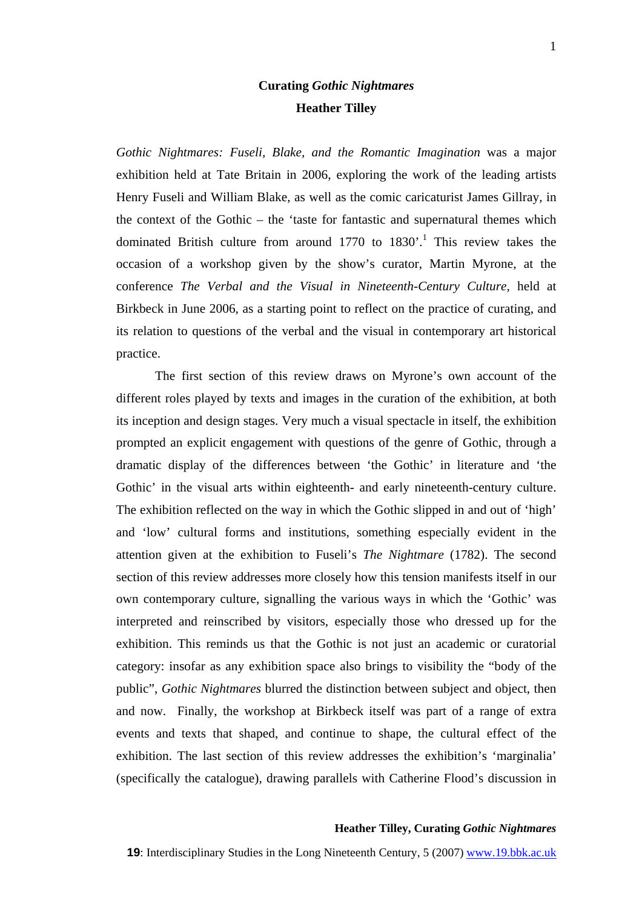# **Curating** *Gothic Nightmares*  **Heather Tilley**

*Gothic Nightmares: Fuseli, Blake, and the Romantic Imagination* was a major exhibition held at Tate Britain in 2006, exploring the work of the leading artists Henry Fuseli and William Blake, as well as the comic caricaturist James Gillray, in the context of the Gothic – the 'taste for fantastic and supernatural themes which dominatedBritish culture from around  $1770$  to  $1830'$ .<sup>1</sup> This review takes the occasion of a workshop given by the show's curator, Martin Myrone, at the conference *The Verbal and the Visual in Nineteenth-Century Culture*, held at Birkbeck in June 2006, as a starting point to reflect on the practice of curating, and its relation to questions of the verbal and the visual in contemporary art historical practice.

The first section of this review draws on Myrone's own account of the different roles played by texts and images in the curation of the exhibition, at both its inception and design stages. Very much a visual spectacle in itself, the exhibition prompted an explicit engagement with questions of the genre of Gothic, through a dramatic display of the differences between 'the Gothic' in literature and 'the Gothic' in the visual arts within eighteenth- and early nineteenth-century culture. The exhibition reflected on the way in which the Gothic slipped in and out of 'high' and 'low' cultural forms and institutions, something especially evident in the attention given at the exhibition to Fuseli's *The Nightmare* (1782). The second section of this review addresses more closely how this tension manifests itself in our own contemporary culture, signalling the various ways in which the 'Gothic' was interpreted and reinscribed by visitors, especially those who dressed up for the exhibition. This reminds us that the Gothic is not just an academic or curatorial category: insofar as any exhibition space also brings to visibility the "body of the public", *Gothic Nightmares* blurred the distinction between subject and object, then and now. Finally, the workshop at Birkbeck itself was part of a range of extra events and texts that shaped, and continue to shape, the cultural effect of the exhibition. The last section of this review addresses the exhibition's 'marginalia' (specifically the catalogue), drawing parallels with Catherine Flood's discussion in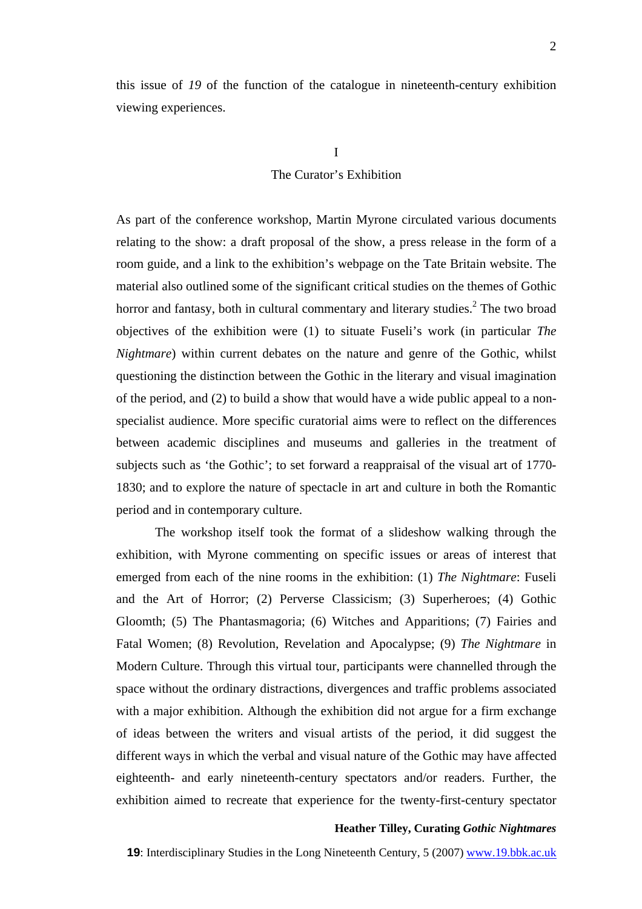this issue of *19* of the function of the catalogue in nineteenth-century exhibition viewing experiences.

# I

# The Curator's Exhibition

As part of the conference workshop, Martin Myrone circulated various documents relating to the show: a draft proposal of the show, a press release in the form of a room guide, and a link to the exhibition's webpage on the Tate Britain website. The material also outlined some of the significant critical studies on the themes of Gothic horror and fantasy, both in cultural commentary and literary studies.<sup>[2](#page-12-1)</sup> The two broad objectives of the exhibition were (1) to situate Fuseli's work (in particular *The Nightmare*) within current debates on the nature and genre of the Gothic, whilst questioning the distinction between the Gothic in the literary and visual imagination of the period, and (2) to build a show that would have a wide public appeal to a nonspecialist audience. More specific curatorial aims were to reflect on the differences between academic disciplines and museums and galleries in the treatment of subjects such as 'the Gothic'; to set forward a reappraisal of the visual art of 1770- 1830; and to explore the nature of spectacle in art and culture in both the Romantic period and in contemporary culture.

The workshop itself took the format of a slideshow walking through the exhibition, with Myrone commenting on specific issues or areas of interest that emerged from each of the nine rooms in the exhibition: (1) *The Nightmare*: Fuseli and the Art of Horror; (2) Perverse Classicism; (3) Superheroes; (4) Gothic Gloomth; (5) The Phantasmagoria; (6) Witches and Apparitions; (7) Fairies and Fatal Women; (8) Revolution, Revelation and Apocalypse; (9) *The Nightmare* in Modern Culture. Through this virtual tour, participants were channelled through the space without the ordinary distractions, divergences and traffic problems associated with a major exhibition. Although the exhibition did not argue for a firm exchange of ideas between the writers and visual artists of the period, it did suggest the different ways in which the verbal and visual nature of the Gothic may have affected eighteenth- and early nineteenth-century spectators and/or readers. Further, the exhibition aimed to recreate that experience for the twenty-first-century spectator

#### **Heather Tilley, Curating** *Gothic Nightmares*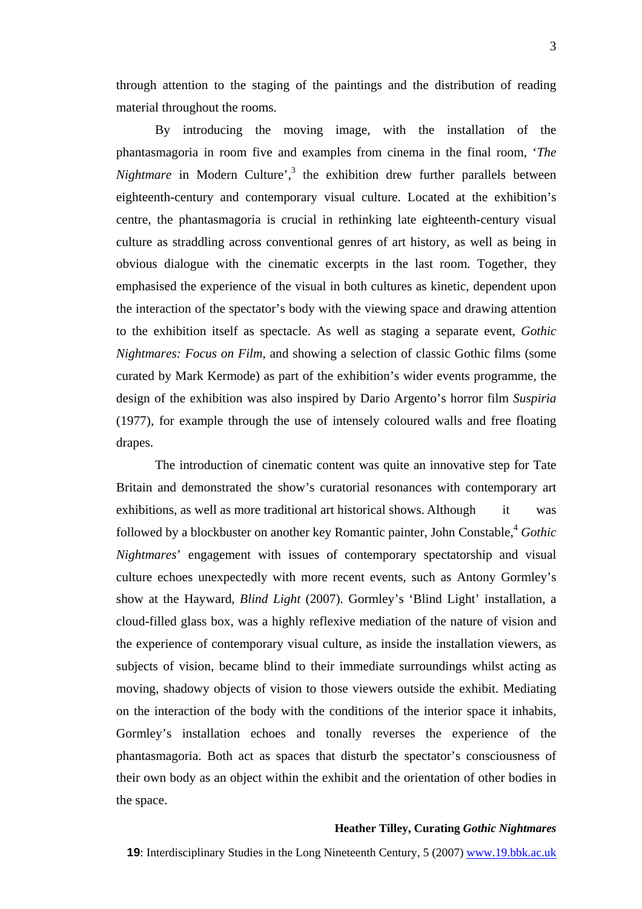By introducing the moving image, with the installation of the phantasmagoria in room five and examples from cinema in the final room, '*The Nightmare* in Modern Culture',<sup>[3](#page-12-2)</sup> the exhibition drew further parallels between eighteenth-century and contemporary visual culture. Located at the exhibition's centre, the phantasmagoria is crucial in rethinking late eighteenth-century visual culture as straddling across conventional genres of art history, as well as being in obvious dialogue with the cinematic excerpts in the last room. Together, they emphasised the experience of the visual in both cultures as kinetic, dependent upon the interaction of the spectator's body with the viewing space and drawing attention to the exhibition itself as spectacle. As well as staging a separate event, *Gothic Nightmares: Focus on Film*, and showing a selection of classic Gothic films (some curated by Mark Kermode) as part of the exhibition's wider events programme, the design of the exhibition was also inspired by Dario Argento's horror film *Suspiria*  (1977), for example through the use of intensely coloured walls and free floating drapes.

The introduction of cinematic content was quite an innovative step for Tate Britain and demonstrated the show's curatorial resonances with contemporary art exhibitions, as well as more traditional art historical shows. Although it was followed by a blockbuster on another key Romantic painter, John Constable, <sup>4</sup> *Gothic Nightmares*' engagement with issues of contemporary spectatorship and visual culture echoes unexpectedly with more recent events, such as Antony Gormley's show at the Hayward, *Blind Light* (2007). Gormley's 'Blind Light' installation, a cloud-filled glass box, was a highly reflexive mediation of the nature of vision and the experience of contemporary visual culture, as inside the installation viewers, as subjects of vision, became blind to their immediate surroundings whilst acting as moving, shadowy objects of vision to those viewers outside the exhibit. Mediating on the interaction of the body with the conditions of the interior space it inhabits, Gormley's installation echoes and tonally reverses the experience of the phantasmagoria. Both act as spaces that disturb the spectator's consciousness of their own body as an object within the exhibit and the orientation of other bodies in the space.

#### **Heather Tilley, Curating** *Gothic Nightmares*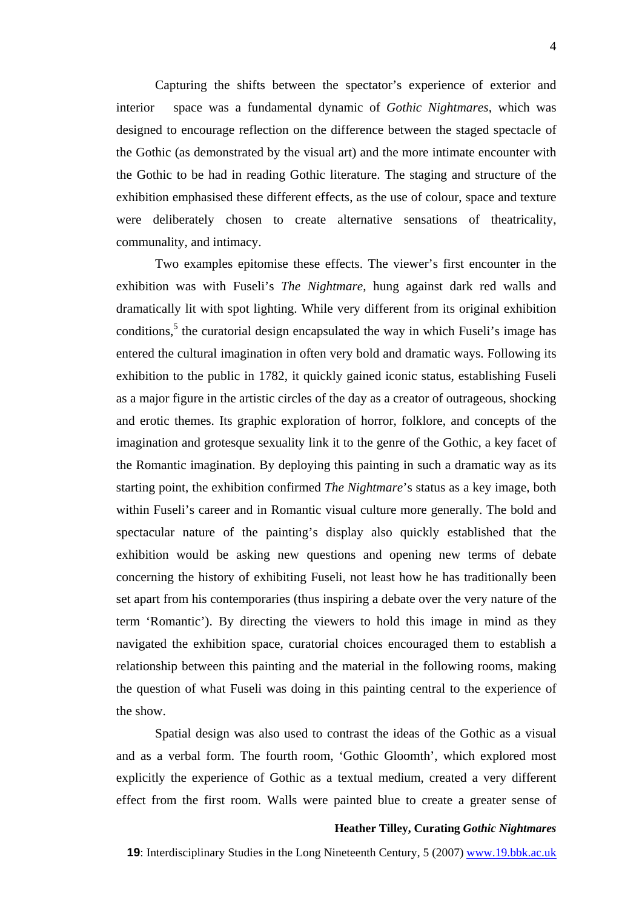Capturing the shifts between the spectator's experience of exterior and interior space was a fundamental dynamic of *Gothic Nightmares*, which was designed to encourage reflection on the difference between the staged spectacle of the Gothic (as demonstrated by the visual art) and the more intimate encounter with the Gothic to be had in reading Gothic literature. The staging and structure of the exhibition emphasised these different effects, as the use of colour, space and texture were deliberately chosen to create alternative sensations of theatricality, communality, and intimacy.

Two examples epitomise these effects. The viewer's first encounter in the exhibition was with Fuseli's *The Nightmare*, hung against dark red walls and dramatically lit with spot lighting. While very different from its original exhibition conditions,<sup>[5](#page-12-4)</sup> the curatorial design encapsulated the way in which Fuseli's image has entered the cultural imagination in often very bold and dramatic ways. Following its exhibition to the public in 1782, it quickly gained iconic status, establishing Fuseli as a major figure in the artistic circles of the day as a creator of outrageous, shocking and erotic themes. Its graphic exploration of horror, folklore, and concepts of the imagination and grotesque sexuality link it to the genre of the Gothic, a key facet of the Romantic imagination. By deploying this painting in such a dramatic way as its starting point, the exhibition confirmed *The Nightmare*'s status as a key image, both within Fuseli's career and in Romantic visual culture more generally. The bold and spectacular nature of the painting's display also quickly established that the exhibition would be asking new questions and opening new terms of debate concerning the history of exhibiting Fuseli, not least how he has traditionally been set apart from his contemporaries (thus inspiring a debate over the very nature of the term 'Romantic'). By directing the viewers to hold this image in mind as they navigated the exhibition space, curatorial choices encouraged them to establish a relationship between this painting and the material in the following rooms, making the question of what Fuseli was doing in this painting central to the experience of the show.

Spatial design was also used to contrast the ideas of the Gothic as a visual and as a verbal form. The fourth room, 'Gothic Gloomth', which explored most explicitly the experience of Gothic as a textual medium, created a very different effect from the first room. Walls were painted blue to create a greater sense of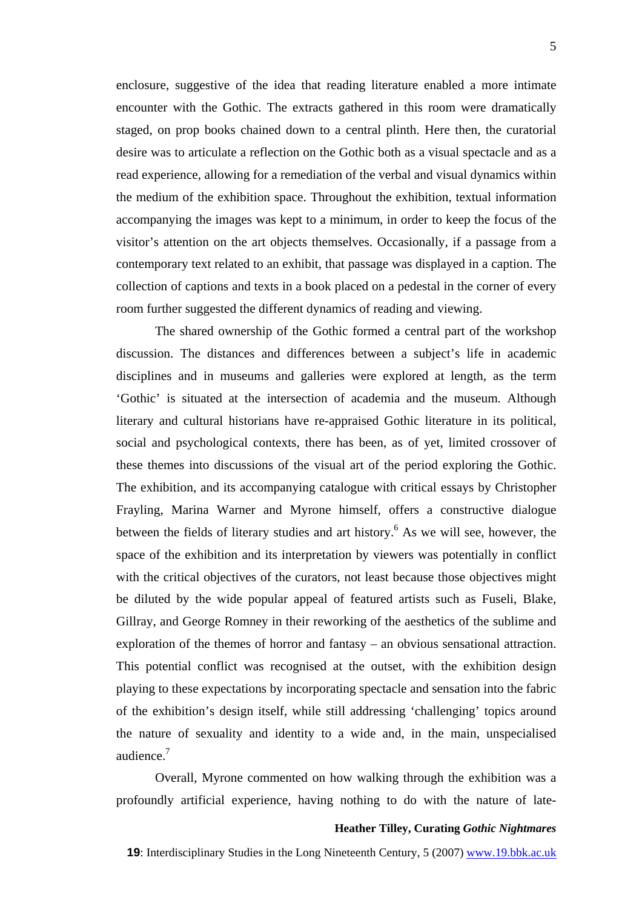enclosure, suggestive of the idea that reading literature enabled a more intimate encounter with the Gothic. The extracts gathered in this room were dramatically staged, on prop books chained down to a central plinth. Here then, the curatorial desire was to articulate a reflection on the Gothic both as a visual spectacle and as a read experience, allowing for a remediation of the verbal and visual dynamics within the medium of the exhibition space. Throughout the exhibition, textual information accompanying the images was kept to a minimum, in order to keep the focus of the visitor's attention on the art objects themselves. Occasionally, if a passage from a contemporary text related to an exhibit, that passage was displayed in a caption. The collection of captions and texts in a book placed on a pedestal in the corner of every room further suggested the different dynamics of reading and viewing.

The shared ownership of the Gothic formed a central part of the workshop discussion. The distances and differences between a subject's life in academic disciplines and in museums and galleries were explored at length, as the term 'Gothic' is situated at the intersection of academia and the museum. Although literary and cultural historians have re-appraised Gothic literature in its political, social and psychological contexts, there has been, as of yet, limited crossover of these themes into discussions of the visual art of the period exploring the Gothic. The exhibition, and its accompanying catalogue with critical essays by Christopher Frayling, Marina Warner and Myrone himself, offers a constructive dialogue between the fields of literary studies and art history.<sup>6</sup> As we will see, however, the space of the exhibition and its interpretation by viewers was potentially in conflict with the critical objectives of the curators, not least because those objectives might be diluted by the wide popular appeal of featured artists such as Fuseli, Blake, Gillray, and George Romney in their reworking of the aesthetics of the sublime and exploration of the themes of horror and fantasy – an obvious sensational attraction. This potential conflict was recognised at the outset, with the exhibition design playing to these expectations by incorporating spectacle and sensation into the fabric of the exhibition's design itself, while still addressing 'challenging' topics around the nature of sexuality and identity to a wide and, in the main, unspecialised audience.<sup>[7](#page-12-5)</sup>

Overall, Myrone commented on how walking through the exhibition was a profoundly artificial experience, having nothing to do with the nature of late-

# **Heather Tilley, Curating** *Gothic Nightmares*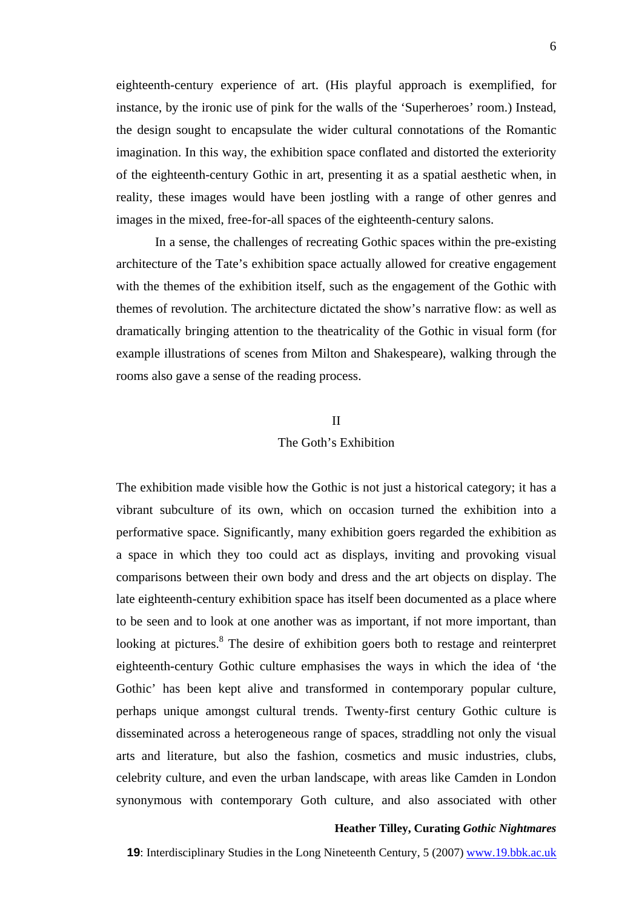eighteenth-century experience of art. (His playful approach is exemplified, for instance, by the ironic use of pink for the walls of the 'Superheroes' room.) Instead, the design sought to encapsulate the wider cultural connotations of the Romantic imagination. In this way, the exhibition space conflated and distorted the exteriority of the eighteenth-century Gothic in art, presenting it as a spatial aesthetic when, in reality, these images would have been jostling with a range of other genres and images in the mixed, free-for-all spaces of the eighteenth-century salons.

In a sense, the challenges of recreating Gothic spaces within the pre-existing architecture of the Tate's exhibition space actually allowed for creative engagement with the themes of the exhibition itself, such as the engagement of the Gothic with themes of revolution. The architecture dictated the show's narrative flow: as well as dramatically bringing attention to the theatricality of the Gothic in visual form (for example illustrations of scenes from Milton and Shakespeare), walking through the rooms also gave a sense of the reading process.

## II

# The Goth's Exhibition

The exhibition made visible how the Gothic is not just a historical category; it has a vibrant subculture of its own, which on occasion turned the exhibition into a performative space. Significantly, many exhibition goers regarded the exhibition as a space in which they too could act as displays, inviting and provoking visual comparisons between their own body and dress and the art objects on display. The late eighteenth-century exhibition space has itself been documented as a place where to be seen and to look at one another was as important, if not more important, than looking at pictures.<sup>8</sup> The desire of exhibition goers both to restage and reinterpret eighteenth-century Gothic culture emphasises the ways in which the idea of 'the Gothic' has been kept alive and transformed in contemporary popular culture, perhaps unique amongst cultural trends. Twenty-first century Gothic culture is disseminated across a heterogeneous range of spaces, straddling not only the visual arts and literature, but also the fashion, cosmetics and music industries, clubs, celebrity culture, and even the urban landscape, with areas like Camden in London synonymous with contemporary Goth culture, and also associated with other

## **Heather Tilley, Curating** *Gothic Nightmares*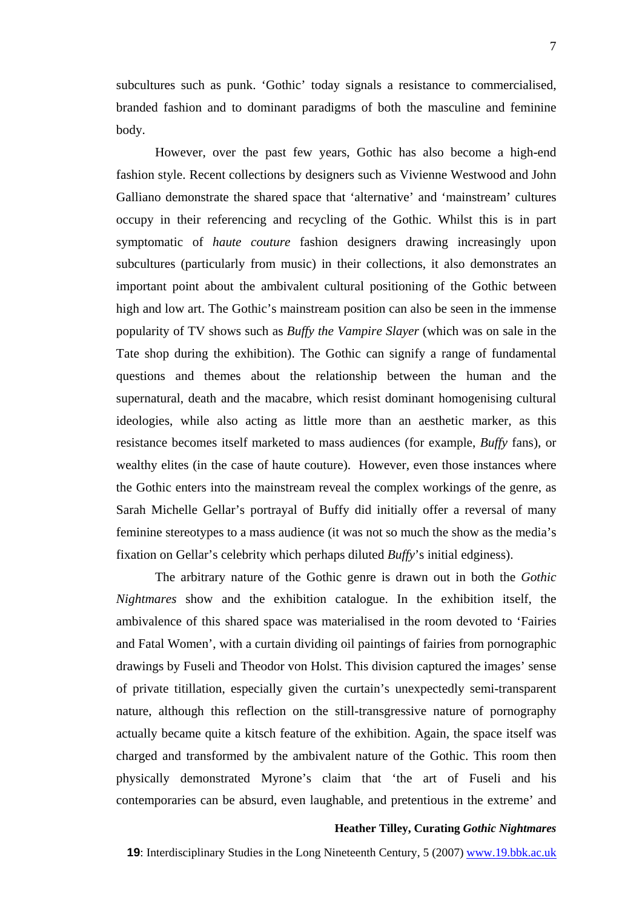subcultures such as punk. 'Gothic' today signals a resistance to commercialised, branded fashion and to dominant paradigms of both the masculine and feminine body.

However, over the past few years, Gothic has also become a high-end fashion style. Recent collections by designers such as Vivienne Westwood and John Galliano demonstrate the shared space that 'alternative' and 'mainstream' cultures occupy in their referencing and recycling of the Gothic. Whilst this is in part symptomatic of *haute couture* fashion designers drawing increasingly upon subcultures (particularly from music) in their collections, it also demonstrates an important point about the ambivalent cultural positioning of the Gothic between high and low art. The Gothic's mainstream position can also be seen in the immense popularity of TV shows such as *Buffy the Vampire Slayer* (which was on sale in the Tate shop during the exhibition). The Gothic can signify a range of fundamental questions and themes about the relationship between the human and the supernatural, death and the macabre, which resist dominant homogenising cultural ideologies, while also acting as little more than an aesthetic marker, as this resistance becomes itself marketed to mass audiences (for example, *Buffy* fans), or wealthy elites (in the case of haute couture). However, even those instances where the Gothic enters into the mainstream reveal the complex workings of the genre, as Sarah Michelle Gellar's portrayal of Buffy did initially offer a reversal of many feminine stereotypes to a mass audience (it was not so much the show as the media's fixation on Gellar's celebrity which perhaps diluted *Buffy*'s initial edginess).

The arbitrary nature of the Gothic genre is drawn out in both the *Gothic Nightmares* show and the exhibition catalogue. In the exhibition itself, the ambivalence of this shared space was materialised in the room devoted to 'Fairies and Fatal Women', with a curtain dividing oil paintings of fairies from pornographic drawings by Fuseli and Theodor von Holst. This division captured the images' sense of private titillation, especially given the curtain's unexpectedly semi-transparent nature, although this reflection on the still-transgressive nature of pornography actually became quite a kitsch feature of the exhibition. Again, the space itself was charged and transformed by the ambivalent nature of the Gothic. This room then physically demonstrated Myrone's claim that 'the art of Fuseli and his contemporaries can be absurd, even laughable, and pretentious in the extreme' and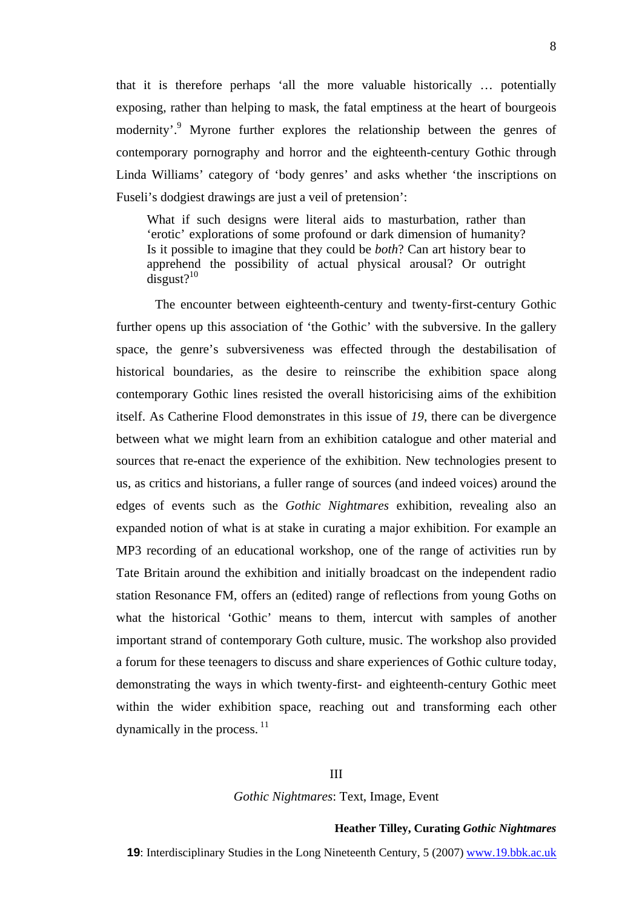that it is therefore perhaps 'all the more valuable historically … potentially exposing, rather than helping to mask, the fatal emptiness at the heart of bourgeois modernity'.<sup>9</sup> Myrone further explores the relationship between the genres of contemporary pornography and horror and the eighteenth-century Gothic through Linda Williams' category of 'body genres' and asks whether 'the inscriptions on Fuseli's dodgiest drawings are just a veil of pretension':

What if such designs were literal aids to masturbation, rather than 'erotic' explorations of some profound or dark dimension of humanity? Is it possible to imagine that they could be *both*? Can art history bear to apprehend the possibility of actual physical arousal? Or outright  $disgust?$ <sup>[10](#page-12-8)</sup>

The encounter between eighteenth-century and twenty-first-century Gothic further opens up this association of 'the Gothic' with the subversive. In the gallery space, the genre's subversiveness was effected through the destabilisation of historical boundaries, as the desire to reinscribe the exhibition space along contemporary Gothic lines resisted the overall historicising aims of the exhibition itself. As Catherine Flood demonstrates in this issue of *19*, there can be divergence between what we might learn from an exhibition catalogue and other material and sources that re-enact the experience of the exhibition. New technologies present to us, as critics and historians, a fuller range of sources (and indeed voices) around the edges of events such as the *Gothic Nightmares* exhibition, revealing also an expanded notion of what is at stake in curating a major exhibition. For example an MP3 recording of an educational workshop, one of the range of activities run by Tate Britain around the exhibition and initially broadcast on the independent radio station Resonance FM, offers an (edited) range of reflections from young Goths on what the historical 'Gothic' means to them, intercut with samples of another important strand of contemporary Goth culture, music. The workshop also provided a forum for these teenagers to discuss and share experiences of Gothic culture today, demonstrating the ways in which twenty-first- and eighteenth-century Gothic meet within the wider exhibition space, reaching out and transforming each other dynamically in the process.  $11$ 

## III

#### *Gothic Nightmares*: Text, Image, Event

#### **Heather Tilley, Curating** *Gothic Nightmares*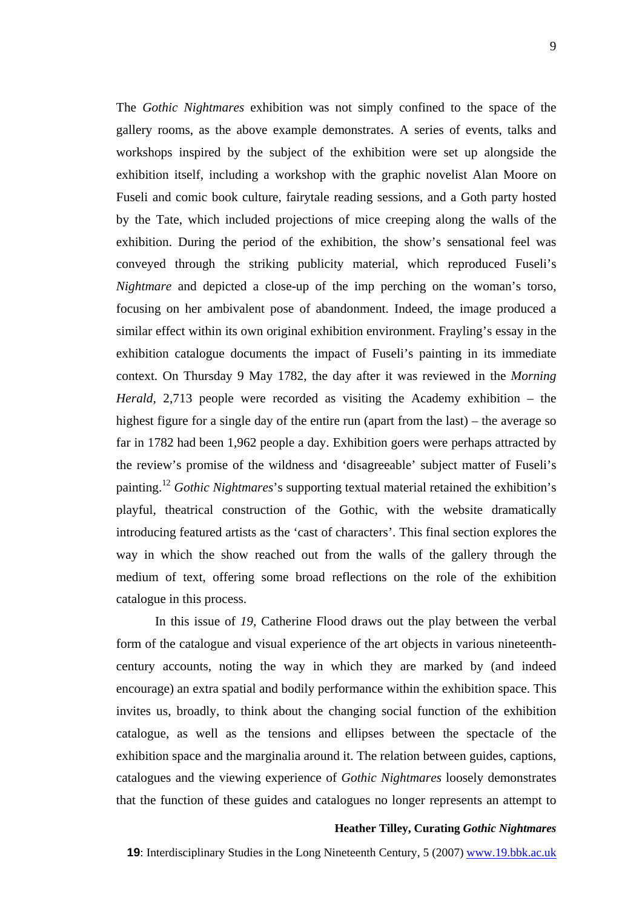The *Gothic Nightmares* exhibition was not simply confined to the space of the gallery rooms, as the above example demonstrates. A series of events, talks and

workshops inspired by the subject of the exhibition were set up alongside the exhibition itself, including a workshop with the graphic novelist Alan Moore on Fuseli and comic book culture, fairytale reading sessions, and a Goth party hosted by the Tate, which included projections of mice creeping along the walls of the exhibition. During the period of the exhibition, the show's sensational feel was conveyed through the striking publicity material, which reproduced Fuseli's *Nightmare* and depicted a close-up of the imp perching on the woman's torso, focusing on her ambivalent pose of abandonment. Indeed, the image produced a similar effect within its own original exhibition environment. Frayling's essay in the exhibition catalogue documents the impact of Fuseli's painting in its immediate context. On Thursday 9 May 1782, the day after it was reviewed in the *Morning Herald*, 2,713 people were recorded as visiting the Academy exhibition – the highest figure for a single day of the entire run (apart from the last) – the average so far in 1782 had been 1,962 people a day. Exhibition goers were perhaps attracted by the review's promise of the wildness and 'disagreeable' subject matter of Fuseli's painting[.12](#page-12-10) *Gothic Nightmares*'s supporting textual material retained the exhibition's playful, theatrical construction of the Gothic, with the website dramatically introducing featured artists as the 'cast of characters'. This final section explores the way in which the show reached out from the walls of the gallery through the medium of text, offering some broad reflections on the role of the exhibition catalogue in this process.

In this issue of *19,* Catherine Flood draws out the play between the verbal form of the catalogue and visual experience of the art objects in various nineteenthcentury accounts, noting the way in which they are marked by (and indeed encourage) an extra spatial and bodily performance within the exhibition space. This invites us, broadly, to think about the changing social function of the exhibition catalogue, as well as the tensions and ellipses between the spectacle of the exhibition space and the marginalia around it. The relation between guides, captions, catalogues and the viewing experience of *Gothic Nightmares* loosely demonstrates that the function of these guides and catalogues no longer represents an attempt to

### **Heather Tilley, Curating** *Gothic Nightmares*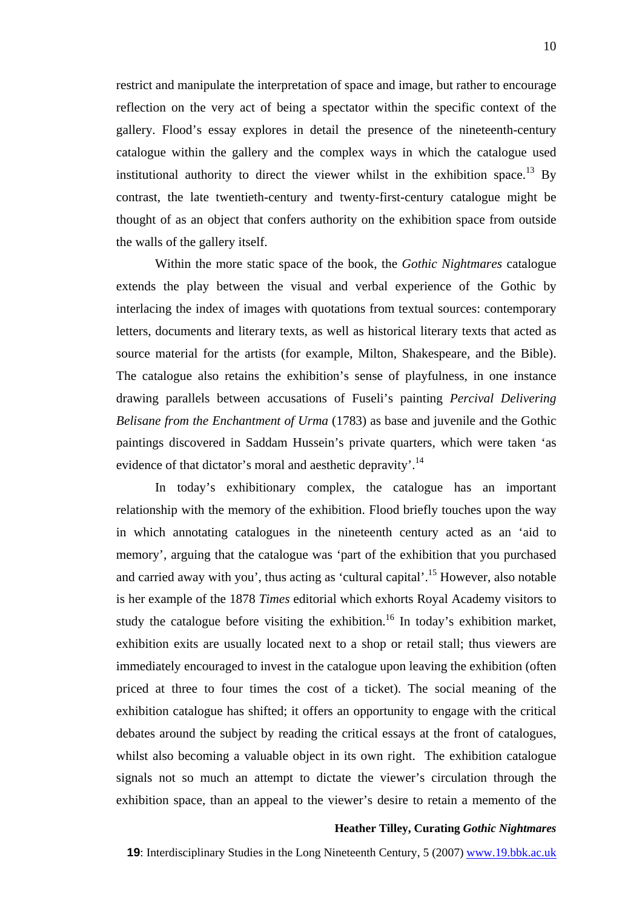restrict and manipulate the interpretation of space and image, but rather to encourage reflection on the very act of being a spectator within the specific context of the gallery. Flood's essay explores in detail the presence of the nineteenth-century catalogue within the gallery and the complex ways in which the catalogue used institutional authority to direct the viewer whilst in the exhibition space.<sup>13</sup> By contrast, the late twentieth-century and twenty-first-century catalogue might be thought of as an object that confers authority on the exhibition space from outside the walls of the gallery itself.

Within the more static space of the book, the *Gothic Nightmares* catalogue extends the play between the visual and verbal experience of the Gothic by interlacing the index of images with quotations from textual sources: contemporary letters, documents and literary texts, as well as historical literary texts that acted as source material for the artists (for example, Milton, Shakespeare, and the Bible). The catalogue also retains the exhibition's sense of playfulness, in one instance drawing parallels between accusations of Fuseli's painting *Percival Delivering Belisane from the Enchantment of Urma* (1783) as base and juvenile and the Gothic paintings discovered in Saddam Hussein's private quarters, which were taken 'as evidence of that dictator's moral and aesthetic depravity'.<sup>14</sup>

In today's exhibitionary complex, the catalogue has an important relationship with the memory of the exhibition. Flood briefly touches upon the way in which annotating catalogues in the nineteenth century acted as an 'aid to memory', arguing that the catalogue was 'part of the exhibition that you purchased and carried away with you', thus acting as 'cultural capital'.<sup>15</sup> However, also notable is her example of the 1878 *Times* editorial which exhorts Royal Academy visitors to study the catalogue before visiting the exhibition.<sup>16</sup> In today's exhibition market, exhibition exits are usually located next to a shop or retail stall; thus viewers are immediately encouraged to invest in the catalogue upon leaving the exhibition (often priced at three to four times the cost of a ticket). The social meaning of the exhibition catalogue has shifted; it offers an opportunity to engage with the critical debates around the subject by reading the critical essays at the front of catalogues, whilst also becoming a valuable object in its own right. The exhibition catalogue signals not so much an attempt to dictate the viewer's circulation through the exhibition space, than an appeal to the viewer's desire to retain a memento of the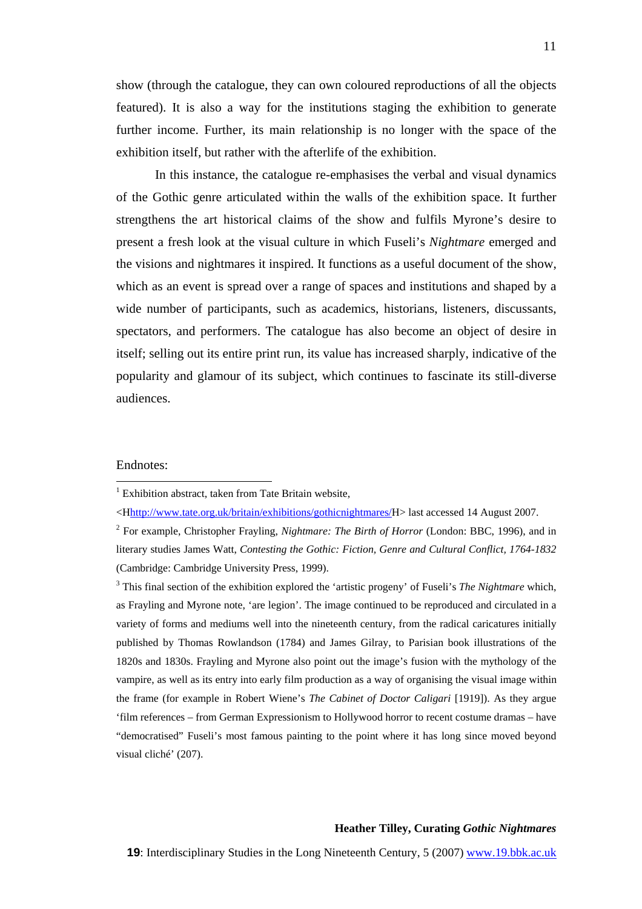show (through the catalogue, they can own coloured reproductions of all the objects featured). It is also a way for the institutions staging the exhibition to generate further income. Further, its main relationship is no longer with the space of the exhibition itself, but rather with the afterlife of the exhibition.

In this instance, the catalogue re-emphasises the verbal and visual dynamics of the Gothic genre articulated within the walls of the exhibition space. It further strengthens the art historical claims of the show and fulfils Myrone's desire to present a fresh look at the visual culture in which Fuseli's *Nightmare* emerged and the visions and nightmares it inspired. It functions as a useful document of the show, which as an event is spread over a range of spaces and institutions and shaped by a wide number of participants, such as academics, historians, listeners, discussants, spectators, and performers. The catalogue has also become an object of desire in itself; selling out its entire print run, its value has increased sharply, indicative of the popularity and glamour of its subject, which continues to fascinate its still-diverse audiences.

## Endnotes:

 $\overline{a}$ 

<sup>3</sup> This final section of the exhibition explored the 'artistic progeny' of Fuseli's *The Nightmare* which, as Frayling and Myrone note, 'are legion'. The image continued to be reproduced and circulated in a variety of forms and mediums well into the nineteenth century, from the radical caricatures initially published by Thomas Rowlandson (1784) and James Gilray, to Parisian book illustrations of the 1820s and 1830s. Frayling and Myrone also point out the image's fusion with the mythology of the vampire, as well as its entry into early film production as a way of organising the visual image within the frame (for example in Robert Wiene's *The Cabinet of Doctor Caligari* [1919]). As they argue 'film references – from German Expressionism to Hollywood horror to recent costume dramas – have "democratised" Fuseli's most famous painting to the point where it has long since moved beyond visual cliché' (207).

<sup>&</sup>lt;sup>1</sup> Exhibition abstract, taken from Tate Britain website,

<sup>&</sup>lt;Hhttp://www.tate.org.uk/britain/exhibitions/gothicnightmares/H> last accessed 14 August 2007.

<sup>2</sup> For example, Christopher Frayling, *Nightmare: The Birth of Horror* (London: BBC, 1996), and in literary studies James Watt, *Contesting the Gothic: Fiction, Genre and Cultural Conflict, 1764-1832*  (Cambridge: Cambridge University Press, 1999).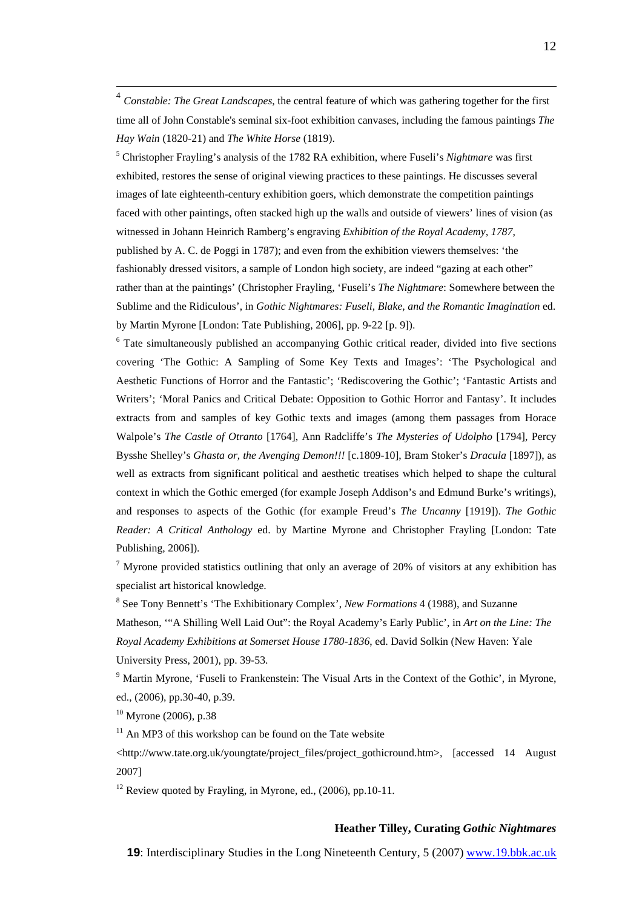4 *Constable: The Great Landscapes*, the central feature of which was gathering together for the first time all of John Constable's seminal six-foot exhibition canvases, including the famous paintings *The Hay Wain* (1820-21) and *The White Horse* (1819).

5 Christopher Frayling's analysis of the 1782 RA exhibition, where Fuseli's *Nightmare* was first exhibited, restores the sense of original viewing practices to these paintings. He discusses several images of late eighteenth-century exhibition goers, which demonstrate the competition paintings faced with other paintings, often stacked high up the walls and outside of viewers' lines of vision (as witnessed in Johann Heinrich Ramberg's engraving *Exhibition of the Royal Academy, 1787*, published by A. C. de Poggi in 1787); and even from the exhibition viewers themselves: 'the fashionably dressed visitors, a sample of London high society, are indeed "gazing at each other" rather than at the paintings' (Christopher Frayling, 'Fuseli's *The Nightmare*: Somewhere between the Sublime and the Ridiculous', in *Gothic Nightmares: Fuseli, Blake, and the Romantic Imagination* ed. by Martin Myrone [London: Tate Publishing, 2006], pp. 9-22 [p. 9]).

<sup>6</sup> Tate simultaneously published an accompanying Gothic critical reader, divided into five sections covering 'The Gothic: A Sampling of Some Key Texts and Images': 'The Psychological and Aesthetic Functions of Horror and the Fantastic'; 'Rediscovering the Gothic'; 'Fantastic Artists and Writers'; 'Moral Panics and Critical Debate: Opposition to Gothic Horror and Fantasy'. It includes extracts from and samples of key Gothic texts and images (among them passages from Horace Walpole's *The Castle of Otranto* [1764], Ann Radcliffe's *The Mysteries of Udolpho* [1794], Percy Bysshe Shelley's *Ghasta or, the Avenging Demon!!!* [c.1809-10], Bram Stoker's *Dracula* [1897]), as well as extracts from significant political and aesthetic treatises which helped to shape the cultural context in which the Gothic emerged (for example Joseph Addison's and Edmund Burke's writings), and responses to aspects of the Gothic (for example Freud's *The Uncanny* [1919]). *The Gothic Reader: A Critical Anthology* ed. by Martine Myrone and Christopher Frayling [London: Tate Publishing, 2006]).

<sup>7</sup> Myrone provided statistics outlining that only an average of 20% of visitors at any exhibition has specialist art historical knowledge.

8 See Tony Bennett's 'The Exhibitionary Complex', *New Formations* 4 (1988), and Suzanne Matheson, '"A Shilling Well Laid Out": the Royal Academy's Early Public', in *Art on the Line: The Royal Academy Exhibitions at Somerset House 1780-1836*, ed. David Solkin (New Haven: Yale University Press, 2001), pp. 39-53.

<sup>9</sup> Martin Myrone, 'Fuseli to Frankenstein: The Visual Arts in the Context of the Gothic', in Myrone, ed., (2006), pp.30-40, p.39.

 $10$  Myrone (2006), p.38

 $11$  An MP3 of this workshop can be found on the Tate website

<http://www.tate.org.uk/youngtate/project\_files/project\_gothicround.htm>, [accessed 14 August 2007]

<sup>12</sup> Review quoted by Frayling, in Myrone, ed.,  $(2006)$ , pp.10-11.

#### **Heather Tilley, Curating** *Gothic Nightmares*